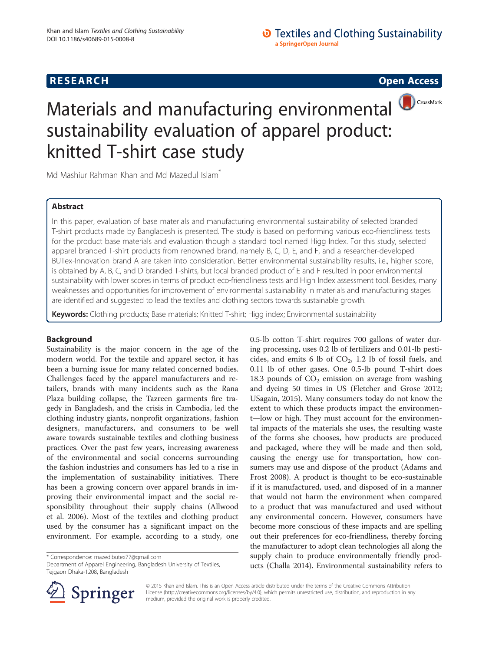# **RESEARCH RESEARCH CONSUMING ACCESS**



# Materials and manufacturing environmental sustainability evaluation of apparel product: knitted T-shirt case study

Md Mashiur Rahman Khan and Md Mazedul Islam<sup>\*</sup>

# Abstract

In this paper, evaluation of base materials and manufacturing environmental sustainability of selected branded T-shirt products made by Bangladesh is presented. The study is based on performing various eco-friendliness tests for the product base materials and evaluation though a standard tool named Higg Index. For this study, selected apparel branded T-shirt products from renowned brand, namely B, C, D, E, and F, and a researcher-developed BUTex-Innovation brand A are taken into consideration. Better environmental sustainability results, i.e., higher score, is obtained by A, B, C, and D branded T-shirts, but local branded product of E and F resulted in poor environmental sustainability with lower scores in terms of product eco-friendliness tests and High Index assessment tool. Besides, many weaknesses and opportunities for improvement of environmental sustainability in materials and manufacturing stages are identified and suggested to lead the textiles and clothing sectors towards sustainable growth.

Keywords: Clothing products; Base materials; Knitted T-shirt; Higg index; Environmental sustainability

# Background

Sustainability is the major concern in the age of the modern world. For the textile and apparel sector, it has been a burning issue for many related concerned bodies. Challenges faced by the apparel manufacturers and retailers, brands with many incidents such as the Rana Plaza building collapse, the Tazreen garments fire tragedy in Bangladesh, and the crisis in Cambodia, led the clothing industry giants, nonprofit organizations, fashion designers, manufacturers, and consumers to be well aware towards sustainable textiles and clothing business practices. Over the past few years, increasing awareness of the environmental and social concerns surrounding the fashion industries and consumers has led to a rise in the implementation of sustainability initiatives. There has been a growing concern over apparel brands in improving their environmental impact and the social responsibility throughout their supply chains (Allwood et al. [2006](#page-10-0)). Most of the textiles and clothing product used by the consumer has a significant impact on the environment. For example, according to a study, one

\* Correspondence: [mazed.butex77@gmail.com](mailto:mazed.butex77@gmail.com)

Department of Apparel Engineering, Bangladesh University of Textiles, Tejgaon Dhaka-1208, Bangladesh





© 2015 Khan and Islam. This is an Open Access article distributed under the terms of the Creative Commons Attribution License [\(http://creativecommons.org/licenses/by/4.0\)](http://creativecommons.org/licenses/by/4.0), which permits unrestricted use, distribution, and reproduction in any medium, provided the original work is properly credited.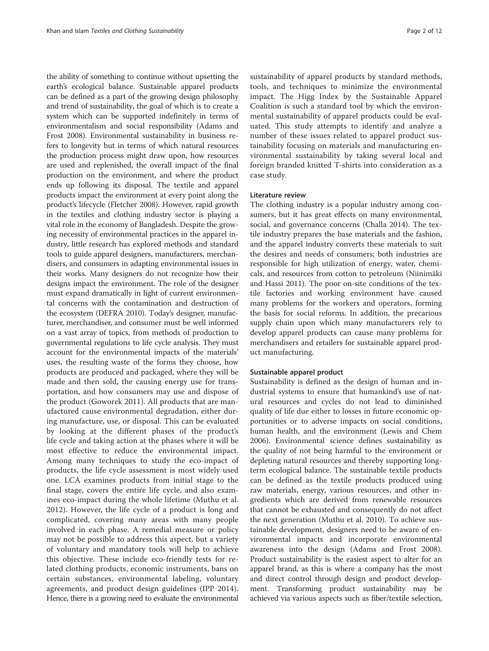the ability of something to continue without upsetting the earth's ecological balance. Sustainable apparel products can be defined as a part of the growing design philosophy and trend of sustainability, the goal of which is to create a system which can be supported indefinitely in terms of environmentalism and social responsibility (Adams and Frost [2008\)](#page-10-0). Environmental sustainability in business refers to longevity but in terms of which natural resources the production process might draw upon, how resources are used and replenished, the overall impact of the final production on the environment, and where the product ends up following its disposal. The textile and apparel products impact the environment at every point along the product's lifecycle (Fletcher [2008](#page-10-0)). However, rapid growth in the textiles and clothing industry sector is playing a vital role in the economy of Bangladesh. Despite the growing necessity of environmental practices in the apparel industry, little research has explored methods and standard tools to guide apparel designers, manufacturers, merchandisers, and consumers in adapting environmental issues in their works. Many designers do not recognize how their designs impact the environment. The role of the designer must expand dramatically in light of current environmental concerns with the contamination and destruction of the ecosystem (DEFRA [2010\)](#page-10-0). Today's designer, manufacturer, merchandiser, and consumer must be well informed on a vast array of topics, from methods of production to governmental regulations to life cycle analysis. They must account for the environmental impacts of the materials' uses, the resulting waste of the forms they choose, how products are produced and packaged, where they will be made and then sold, the causing energy use for transportation, and how consumers may use and dispose of the product (Goworek [2011\)](#page-10-0). All products that are manufactured cause environmental degradation, either during manufacture, use, or disposal. This can be evaluated by looking at the different phases of the product's life cycle and taking action at the phases where it will be most effective to reduce the environmental impact. Among many techniques to study the eco-impact of products, the life cycle assessment is most widely used one. LCA examines products from initial stage to the final stage, covers the entire life cycle, and also examines eco-impact during the whole lifetime (Muthu et al. [2012\)](#page-10-0). However, the life cycle of a product is long and complicated, covering many areas with many people involved in each phase. A remedial measure or policy may not be possible to address this aspect, but a variety of voluntary and mandatory tools will help to achieve this objective. These include eco-friendly tests for related clothing products, economic instruments, bans on certain substances, environmental labeling, voluntary agreements, and product design guidelines (IPP 2014). Hence, there is a growing need to evaluate the environmental

sustainability of apparel products by standard methods, tools, and techniques to minimize the environmental impact. The Higg Index by the Sustainable Apparel Coalition is such a standard tool by which the environmental sustainability of apparel products could be evaluated. This study attempts to identify and analyze a number of these issues related to apparel product sustainability focusing on materials and manufacturing environmental sustainability by taking several local and foreign branded knitted T-shirts into consideration as a case study.

# Literature review

The clothing industry is a popular industry among consumers, but it has great effects on many environmental, social, and governance concerns (Challa [2014](#page-10-0)). The textile industry prepares the base materials and the fashion, and the apparel industry converts these materials to suit the desires and needs of consumers; both industries are responsible for high utilization of energy, water, chemicals, and resources from cotton to petroleum (Niinimäki and Hassi [2011\)](#page-10-0). The poor on-site conditions of the textile factories and working environment have caused many problems for the workers and operators, forming the basis for social reforms. In addition, the precarious supply chain upon which many manufacturers rely to develop apparel products can cause many problems for merchandisers and retailers for sustainable apparel product manufacturing.

#### Sustainable apparel product

Sustainability is defined as the design of human and industrial systems to ensure that humankind's use of natural resources and cycles do not lead to diminished quality of life due either to losses in future economic opportunities or to adverse impacts on social conditions, human health, and the environment (Lewis and Chem [2006](#page-10-0)). Environmental science defines sustainability as the quality of not being harmful to the environment or depleting natural resources and thereby supporting longterm ecological balance. The sustainable textile products can be defined as the textile products produced using raw materials, energy, various resources, and other ingredients which are derived from renewable resources that cannot be exhausted and consequently do not affect the next generation (Muthu et al. [2010](#page-10-0)). To achieve sustainable development, designers need to be aware of environmental impacts and incorporate environmental awareness into the design (Adams and Frost [2008](#page-10-0)). Product sustainability is the easiest aspect to alter for an apparel brand, as this is where a company has the most and direct control through design and product development. Transforming product sustainability may be achieved via various aspects such as fiber/textile selection,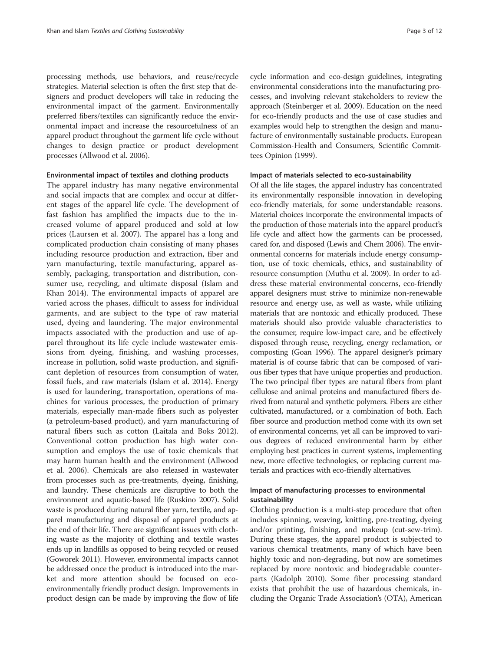processing methods, use behaviors, and reuse/recycle strategies. Material selection is often the first step that designers and product developers will take in reducing the environmental impact of the garment. Environmentally preferred fibers/textiles can significantly reduce the environmental impact and increase the resourcefulness of an apparel product throughout the garment life cycle without changes to design practice or product development processes (Allwood et al. [2006](#page-10-0)).

#### Environmental impact of textiles and clothing products

The apparel industry has many negative environmental and social impacts that are complex and occur at different stages of the apparel life cycle. The development of fast fashion has amplified the impacts due to the increased volume of apparel produced and sold at low prices (Laursen et al. [2007](#page-10-0)). The apparel has a long and complicated production chain consisting of many phases including resource production and extraction, fiber and yarn manufacturing, textile manufacturing, apparel assembly, packaging, transportation and distribution, consumer use, recycling, and ultimate disposal (Islam and Khan [2014](#page-10-0)). The environmental impacts of apparel are varied across the phases, difficult to assess for individual garments, and are subject to the type of raw material used, dyeing and laundering. The major environmental impacts associated with the production and use of apparel throughout its life cycle include wastewater emissions from dyeing, finishing, and washing processes, increase in pollution, solid waste production, and significant depletion of resources from consumption of water, fossil fuels, and raw materials (Islam et al. [2014\)](#page-10-0). Energy is used for laundering, transportation, operations of machines for various processes, the production of primary materials, especially man-made fibers such as polyester (a petroleum-based product), and yarn manufacturing of natural fibers such as cotton (Laitala and Boks 2012). Conventional cotton production has high water consumption and employs the use of toxic chemicals that may harm human health and the environment (Allwood et al. [2006\)](#page-10-0). Chemicals are also released in wastewater from processes such as pre-treatments, dyeing, finishing, and laundry. These chemicals are disruptive to both the environment and aquatic-based life (Ruskino [2007\)](#page-10-0). Solid waste is produced during natural fiber yarn, textile, and apparel manufacturing and disposal of apparel products at the end of their life. There are significant issues with clothing waste as the majority of clothing and textile wastes ends up in landfills as opposed to being recycled or reused (Goworek [2011\)](#page-10-0). However, environmental impacts cannot be addressed once the product is introduced into the market and more attention should be focused on ecoenvironmentally friendly product design. Improvements in product design can be made by improving the flow of life

cycle information and eco-design guidelines, integrating environmental considerations into the manufacturing processes, and involving relevant stakeholders to review the approach (Steinberger et al. [2009](#page-10-0)). Education on the need for eco-friendly products and the use of case studies and examples would help to strengthen the design and manufacture of environmentally sustainable products. European Commission-Health and Consumers, Scientific Committees Opinion (1999).

#### Impact of materials selected to eco-sustainability

Of all the life stages, the apparel industry has concentrated its environmentally responsible innovation in developing eco-friendly materials, for some understandable reasons. Material choices incorporate the environmental impacts of the production of those materials into the apparel product's life cycle and affect how the garments can be processed, cared for, and disposed (Lewis and Chem [2006](#page-10-0)). The environmental concerns for materials include energy consumption, use of toxic chemicals, ethics, and sustainability of resource consumption (Muthu et al. [2009\)](#page-10-0). In order to address these material environmental concerns, eco-friendly apparel designers must strive to minimize non-renewable resource and energy use, as well as waste, while utilizing materials that are nontoxic and ethically produced. These materials should also provide valuable characteristics to the consumer, require low-impact care, and be effectively disposed through reuse, recycling, energy reclamation, or composting (Goan 1996). The apparel designer's primary material is of course fabric that can be composed of various fiber types that have unique properties and production. The two principal fiber types are natural fibers from plant cellulose and animal proteins and manufactured fibers derived from natural and synthetic polymers. Fibers are either cultivated, manufactured, or a combination of both. Each fiber source and production method come with its own set of environmental concerns, yet all can be improved to various degrees of reduced environmental harm by either employing best practices in current systems, implementing new, more effective technologies, or replacing current materials and practices with eco-friendly alternatives.

# Impact of manufacturing processes to environmental sustainability

Clothing production is a multi-step procedure that often includes spinning, weaving, knitting, pre-treating, dyeing and/or printing, finishing, and makeup (cut-sew-trim). During these stages, the apparel product is subjected to various chemical treatments, many of which have been highly toxic and non-degrading, but now are sometimes replaced by more nontoxic and biodegradable counterparts (Kadolph [2010\)](#page-10-0). Some fiber processing standard exists that prohibit the use of hazardous chemicals, including the Organic Trade Association's (OTA), American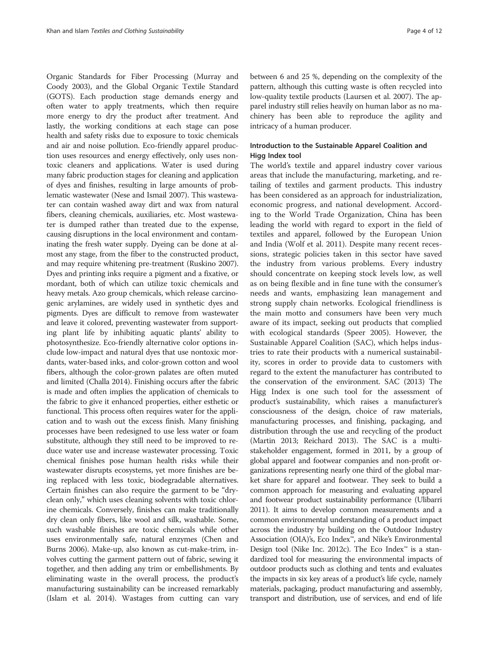Organic Standards for Fiber Processing (Murray and Coody 2003), and the Global Organic Textile Standard (GOTS). Each production stage demands energy and often water to apply treatments, which then require more energy to dry the product after treatment. And lastly, the working conditions at each stage can pose health and safety risks due to exposure to toxic chemicals and air and noise pollution. Eco-friendly apparel production uses resources and energy effectively, only uses nontoxic cleaners and applications. Water is used during many fabric production stages for cleaning and application of dyes and finishes, resulting in large amounts of problematic wastewater (Nese and Ismail 2007). This wastewater can contain washed away dirt and wax from natural fibers, cleaning chemicals, auxiliaries, etc. Most wastewater is dumped rather than treated due to the expense, causing disruptions in the local environment and contaminating the fresh water supply. Dyeing can be done at almost any stage, from the fiber to the constructed product, and may require whitening pre-treatment (Ruskino [2007](#page-10-0)). Dyes and printing inks require a pigment and a fixative, or mordant, both of which can utilize toxic chemicals and heavy metals. Azo group chemicals, which release carcinogenic arylamines, are widely used in synthetic dyes and pigments. Dyes are difficult to remove from wastewater and leave it colored, preventing wastewater from supporting plant life by inhibiting aquatic plants' ability to photosynthesize. Eco-friendly alternative color options include low-impact and natural dyes that use nontoxic mordants, water-based inks, and color-grown cotton and wool fibers, although the color-grown palates are often muted and limited (Challa [2014](#page-10-0)). Finishing occurs after the fabric is made and often implies the application of chemicals to the fabric to give it enhanced properties, either esthetic or functional. This process often requires water for the application and to wash out the excess finish. Many finishing processes have been redesigned to use less water or foam substitute, although they still need to be improved to reduce water use and increase wastewater processing. Toxic chemical finishes pose human health risks while their wastewater disrupts ecosystems, yet more finishes are being replaced with less toxic, biodegradable alternatives. Certain finishes can also require the garment to be "dryclean only," which uses cleaning solvents with toxic chlorine chemicals. Conversely, finishes can make traditionally dry clean only fibers, like wool and silk, washable. Some, such washable finishes are toxic chemicals while other uses environmentally safe, natural enzymes (Chen and Burns [2006](#page-10-0)). Make-up, also known as cut-make-trim, involves cutting the garment pattern out of fabric, sewing it together, and then adding any trim or embellishments. By eliminating waste in the overall process, the product's manufacturing sustainability can be increased remarkably (Islam et al. [2014\)](#page-10-0). Wastages from cutting can vary

between 6 and 25 %, depending on the complexity of the pattern, although this cutting waste is often recycled into low-quality textile products (Laursen et al. [2007](#page-10-0)). The apparel industry still relies heavily on human labor as no machinery has been able to reproduce the agility and intricacy of a human producer.

# Introduction to the Sustainable Apparel Coalition and Higg Index tool

The world's textile and apparel industry cover various areas that include the manufacturing, marketing, and retailing of textiles and garment products. This industry has been considered as an approach for industrialization, economic progress, and national development. According to the World Trade Organization, China has been leading the world with regard to export in the field of textiles and apparel, followed by the European Union and India (Wolf et al. [2011](#page-11-0)). Despite many recent recessions, strategic policies taken in this sector have saved the industry from various problems. Every industry should concentrate on keeping stock levels low, as well as on being flexible and in fine tune with the consumer's needs and wants, emphasizing lean management and strong supply chain networks. Ecological friendliness is the main motto and consumers have been very much aware of its impact, seeking out products that complied with ecological standards (Speer [2005\)](#page-10-0). However, the Sustainable Apparel Coalition (SAC), which helps industries to rate their products with a numerical sustainability, scores in order to provide data to customers with regard to the extent the manufacturer has contributed to the conservation of the environment. SAC (2013) The Higg Index is one such tool for the assessment of product's sustainability, which raises a manufacturer's consciousness of the design, choice of raw materials, manufacturing processes, and finishing, packaging, and distribution through the use and recycling of the product (Martin 2013; Reichard 2013). The SAC is a multistakeholder engagement, formed in 2011, by a group of global apparel and footwear companies and non-profit organizations representing nearly one third of the global market share for apparel and footwear. They seek to build a common approach for measuring and evaluating apparel and footwear product sustainability performance (Ulibarri [2011\)](#page-10-0). It aims to develop common measurements and a common environmental understanding of a product impact across the industry by building on the Outdoor Industry Association (OIA)'s, Eco Index™, and Nike's Environmental Design tool (Nike Inc. [2012c\)](#page-10-0). The Eco Index™ is a standardized tool for measuring the environmental impacts of outdoor products such as clothing and tents and evaluates the impacts in six key areas of a product's life cycle, namely materials, packaging, product manufacturing and assembly, transport and distribution, use of services, and end of life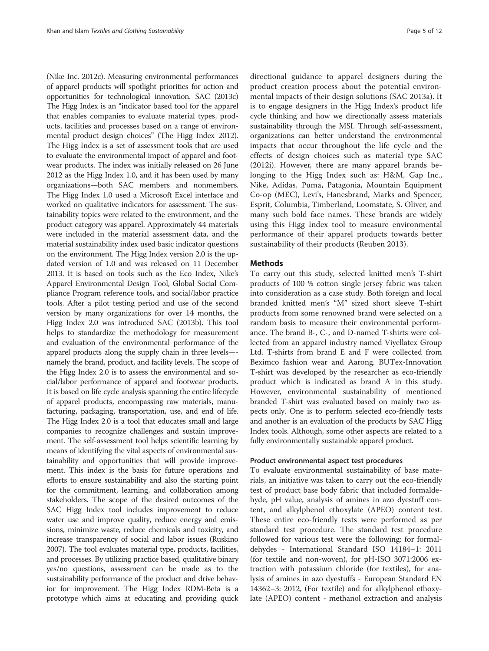(Nike Inc. [2012c\)](#page-10-0). Measuring environmental performances of apparel products will spotlight priorities for action and opportunities for technological innovation. SAC (2013c) The Higg Index is an "indicator based tool for the apparel that enables companies to evaluate material types, products, facilities and processes based on a range of environmental product design choices" (The Higg Index [2012](#page-10-0)). The Higg Index is a set of assessment tools that are used to evaluate the environmental impact of apparel and footwear products. The index was initially released on 26 June 2012 as the Higg Index 1.0, and it has been used by many organizations—both SAC members and nonmembers. The Higg Index 1.0 used a Microsoft Excel interface and worked on qualitative indicators for assessment. The sustainability topics were related to the environment, and the product category was apparel. Approximately 44 materials were included in the material assessment data, and the material sustainability index used basic indicator questions on the environment. The Higg Index version 2.0 is the updated version of 1.0 and was released on 11 December 2013. It is based on tools such as the Eco Index, Nike's Apparel Environmental Design Tool, Global Social Compliance Program reference tools, and social/labor practice tools. After a pilot testing period and use of the second version by many organizations for over 14 months, the Higg Index 2.0 was introduced SAC (2013b). This tool helps to standardize the methodology for measurement and evaluation of the environmental performance of the apparel products along the supply chain in three levels— namely the brand, product, and facility levels. The scope of the Higg Index 2.0 is to assess the environmental and social/labor performance of apparel and footwear products. It is based on life cycle analysis spanning the entire lifecycle of apparel products, encompassing raw materials, manufacturing, packaging, transportation, use, and end of life. The Higg Index 2.0 is a tool that educates small and large companies to recognize challenges and sustain improvement. The self-assessment tool helps scientific learning by means of identifying the vital aspects of environmental sustainability and opportunities that will provide improvement. This index is the basis for future operations and efforts to ensure sustainability and also the starting point for the commitment, learning, and collaboration among stakeholders. The scope of the desired outcomes of the SAC Higg Index tool includes improvement to reduce water use and improve quality, reduce energy and emissions, minimize waste, reduce chemicals and toxicity, and increase transparency of social and labor issues (Ruskino [2007\)](#page-10-0). The tool evaluates material type, products, facilities, and processes. By utilizing practice based, qualitative binary yes/no questions, assessment can be made as to the sustainability performance of the product and drive behavior for improvement. The Higg Index RDM-Beta is a prototype which aims at educating and providing quick

directional guidance to apparel designers during the product creation process about the potential environmental impacts of their design solutions (SAC [2013a\)](#page-10-0). It is to engage designers in the Higg Index's product life cycle thinking and how we directionally assess materials sustainability through the MSI. Through self-assessment, organizations can better understand the environmental impacts that occur throughout the life cycle and the effects of design choices such as material type SAC (2012i). However, there are many apparel brands belonging to the Higg Index such as: H&M, Gap Inc., Nike, Adidas, Puma, Patagonia, Mountain Equipment Co-op (MEC), Levi's, Hanesbrand, Marks and Spencer, Esprit, Columbia, Timberland, Loomstate, S. Oliver, and many such bold face names. These brands are widely using this Higg Index tool to measure environmental performance of their apparel products towards better sustainability of their products (Reuben [2013\)](#page-10-0).

# **Methods**

To carry out this study, selected knitted men's T-shirt products of 100 % cotton single jersey fabric was taken into consideration as a case study. Both foreign and local branded knitted men's "M" sized short sleeve T-shirt products from some renowned brand were selected on a random basis to measure their environmental performance. The brand B-, C-, and D-named T-shirts were collected from an apparel industry named Viyellatex Group Ltd. T-shirts from brand E and F were collected from Beximco fashion wear and Aarong. BUTex-Innovation T-shirt was developed by the researcher as eco-friendly product which is indicated as brand A in this study. However, environmental sustainability of mentioned branded T-shirt was evaluated based on mainly two aspects only. One is to perform selected eco-friendly tests and another is an evaluation of the products by SAC Higg Index tools. Although, some other aspects are related to a fully environmentally sustainable apparel product.

# Product environmental aspect test procedures

To evaluate environmental sustainability of base materials, an initiative was taken to carry out the eco-friendly test of product base body fabric that included formaldehyde, pH value, analysis of amines in azo dyestuff content, and alkylphenol ethoxylate (APEO) content test. These entire eco-friendly tests were performed as per standard test procedure. The standard test procedure followed for various test were the following: for formaldehydes - International Standard ISO 14184–1: 2011 (for textile and non-woven), for pH-ISO 3071:2006 extraction with potassium chloride (for textiles), for analysis of amines in azo dyestuffs - European Standard EN 14362–3: 2012, (For textile) and for alkylphenol ethoxylate (APEO) content - methanol extraction and analysis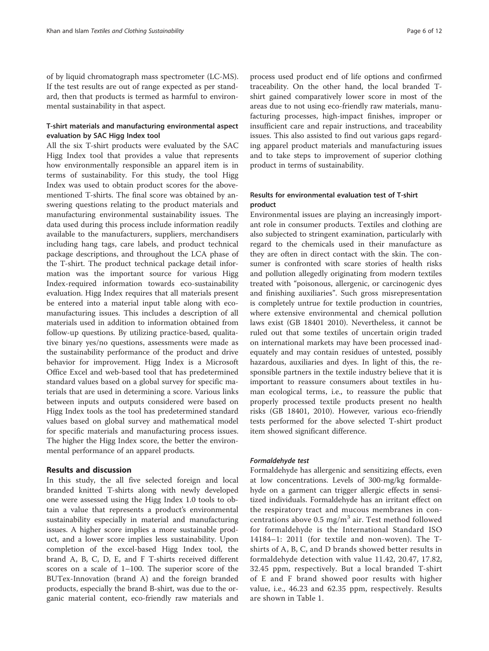of by liquid chromatograph mass spectrometer (LC-MS). If the test results are out of range expected as per standard, then that products is termed as harmful to environmental sustainability in that aspect.

# T-shirt materials and manufacturing environmental aspect evaluation by SAC Higg Index tool

All the six T-shirt products were evaluated by the SAC Higg Index tool that provides a value that represents how environmentally responsible an apparel item is in terms of sustainability. For this study, the tool Higg Index was used to obtain product scores for the abovementioned T-shirts. The final score was obtained by answering questions relating to the product materials and manufacturing environmental sustainability issues. The data used during this process include information readily available to the manufacturers, suppliers, merchandisers including hang tags, care labels, and product technical package descriptions, and throughout the LCA phase of the T-shirt. The product technical package detail information was the important source for various Higg Index-required information towards eco-sustainability evaluation. Higg Index requires that all materials present be entered into a material input table along with ecomanufacturing issues. This includes a description of all materials used in addition to information obtained from follow-up questions. By utilizing practice-based, qualitative binary yes/no questions, assessments were made as the sustainability performance of the product and drive behavior for improvement. Higg Index is a Microsoft Office Excel and web-based tool that has predetermined standard values based on a global survey for specific materials that are used in determining a score. Various links between inputs and outputs considered were based on Higg Index tools as the tool has predetermined standard values based on global survey and mathematical model for specific materials and manufacturing process issues. The higher the Higg Index score, the better the environmental performance of an apparel products.

# Results and discussion

In this study, the all five selected foreign and local branded knitted T-shirts along with newly developed one were assessed using the Higg Index 1.0 tools to obtain a value that represents a product's environmental sustainability especially in material and manufacturing issues. A higher score implies a more sustainable product, and a lower score implies less sustainability. Upon completion of the excel-based Higg Index tool, the brand A, B, C, D, E, and F T-shirts received different scores on a scale of 1–100. The superior score of the BUTex-Innovation (brand A) and the foreign branded products, especially the brand B-shirt, was due to the organic material content, eco-friendly raw materials and

process used product end of life options and confirmed traceability. On the other hand, the local branded Tshirt gained comparatively lower score in most of the areas due to not using eco-friendly raw materials, manufacturing processes, high-impact finishes, improper or insufficient care and repair instructions, and traceability issues. This also assisted to find out various gaps regarding apparel product materials and manufacturing issues and to take steps to improvement of superior clothing product in terms of sustainability.

# Results for environmental evaluation test of T-shirt product

Environmental issues are playing an increasingly important role in consumer products. Textiles and clothing are also subjected to stringent examination, particularly with regard to the chemicals used in their manufacture as they are often in direct contact with the skin. The consumer is confronted with scare stories of health risks and pollution allegedly originating from modern textiles treated with "poisonous, allergenic, or carcinogenic dyes and finishing auxiliaries". Such gross misrepresentation is completely untrue for textile production in countries, where extensive environmental and chemical pollution laws exist (GB 18401 [2010\)](#page-10-0). Nevertheless, it cannot be ruled out that some textiles of uncertain origin traded on international markets may have been processed inadequately and may contain residues of untested, possibly hazardous, auxiliaries and dyes. In light of this, the responsible partners in the textile industry believe that it is important to reassure consumers about textiles in human ecological terms, i.e., to reassure the public that properly processed textile products present no health risks (GB 18401, [2010\)](#page-10-0). However, various eco-friendly tests performed for the above selected T-shirt product item showed significant difference.

#### Formaldehyde test

Formaldehyde has allergenic and sensitizing effects, even at low concentrations. Levels of 300-mg/kg formaldehyde on a garment can trigger allergic effects in sensitized individuals. Formaldehyde has an irritant effect on the respiratory tract and mucous membranes in concentrations above  $0.5 \text{ mg/m}^3$  air. Test method followed for formaldehyde is the International Standard ISO 14184–1: 2011 (for textile and non-woven). The Tshirts of A, B, C, and D brands showed better results in formaldehyde detection with value 11.42, 20.47, 17.82, 32.45 ppm, respectively. But a local branded T-shirt of E and F brand showed poor results with higher value, i.e., 46.23 and 62.35 ppm, respectively. Results are shown in Table [1](#page-6-0).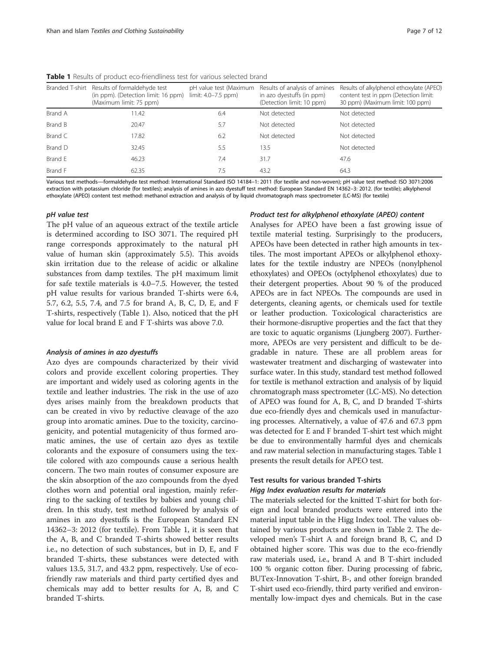<span id="page-6-0"></span>**Table 1** Results of product eco-friendliness test for various selected brand

| Branded T-shirt | Results of formaldehyde test<br>(in ppm). (Detection limit: 16 ppm)<br>(Maximum limit: 75 ppm) | pH value test (Maximum<br>$limit: 4.0 - 7.5$ ppm) | Results of analysis of amines<br>in azo dyestuffs (in ppm)<br>(Detection limit: 10 ppm) | Results of alkylphenol ethoxylate (APEO)<br>content test in ppm (Detection limit:<br>30 ppm) (Maximum limit: 100 ppm) |
|-----------------|------------------------------------------------------------------------------------------------|---------------------------------------------------|-----------------------------------------------------------------------------------------|-----------------------------------------------------------------------------------------------------------------------|
| Brand A         | 11.42                                                                                          | 6.4                                               | Not detected                                                                            | Not detected                                                                                                          |
| Brand B         | 20.47                                                                                          | 5.7                                               | Not detected                                                                            | Not detected                                                                                                          |
| Brand C         | 17.82                                                                                          | 6.2                                               | Not detected                                                                            | Not detected                                                                                                          |
| Brand D         | 32.45                                                                                          | 5.5                                               | 13.5                                                                                    | Not detected                                                                                                          |
| Brand E         | 46.23                                                                                          | 7.4                                               | 31.7                                                                                    | 47.6                                                                                                                  |
| Brand F         | 62.35                                                                                          | 7.5                                               | 43.2                                                                                    | 64.3                                                                                                                  |

Various test methods—formaldehyde test method: International Standard ISO 14184–1: 2011 (for textile and non-woven); pH value test method: ISO 3071:2006 extraction with potassium chloride (for textiles); analysis of amines in azo dyestuff test method: European Standard EN 14362–3: 2012. (for textile); alkylphenol ethoxylate (APEO) content test method: methanol extraction and analysis of by liquid chromatograph mass spectrometer (LC-MS) (for textile)

#### pH value test

The pH value of an aqueous extract of the textile article is determined according to ISO 3071. The required pH range corresponds approximately to the natural pH value of human skin (approximately 5.5). This avoids skin irritation due to the release of acidic or alkaline substances from damp textiles. The pH maximum limit for safe textile materials is 4.0–7.5. However, the tested pH value results for various branded T-shirts were 6.4, 5.7, 6.2, 5.5, 7.4, and 7.5 for brand A, B, C, D, E, and F T-shirts, respectively (Table 1). Also, noticed that the pH value for local brand E and F T-shirts was above 7.0.

#### Analysis of amines in azo dyestuffs

Azo dyes are compounds characterized by their vivid colors and provide excellent coloring properties. They are important and widely used as coloring agents in the textile and leather industries. The risk in the use of azo dyes arises mainly from the breakdown products that can be created in vivo by reductive cleavage of the azo group into aromatic amines. Due to the toxicity, carcinogenicity, and potential mutagenicity of thus formed aromatic amines, the use of certain azo dyes as textile colorants and the exposure of consumers using the textile colored with azo compounds cause a serious health concern. The two main routes of consumer exposure are the skin absorption of the azo compounds from the dyed clothes worn and potential oral ingestion, mainly referring to the sacking of textiles by babies and young children. In this study, test method followed by analysis of amines in azo dyestuffs is the European Standard EN 14362–3: 2012 (for textile). From Table 1, it is seen that the A, B, and C branded T-shirts showed better results i.e., no detection of such substances, but in D, E, and F branded T-shirts, these substances were detected with values 13.5, 31.7, and 43.2 ppm, respectively. Use of ecofriendly raw materials and third party certified dyes and chemicals may add to better results for A, B, and C branded T-shirts.

#### Product test for alkylphenol ethoxylate (APEO) content

Analyses for APEO have been a fast growing issue of textile material testing. Surprisingly to the producers, APEOs have been detected in rather high amounts in textiles. The most important APEOs or alkylphenol ethoxylates for the textile industry are NPEOs (nonylphenol ethoxylates) and OPEOs (octylphenol ethoxylates) due to their detergent properties. About 90 % of the produced APEOs are in fact NPEOs. The compounds are used in detergents, cleaning agents, or chemicals used for textile or leather production. Toxicological characteristics are their hormone-disruptive properties and the fact that they are toxic to aquatic organisms (Ljungberg [2007\)](#page-10-0). Furthermore, APEOs are very persistent and difficult to be degradable in nature. These are all problem areas for wastewater treatment and discharging of wastewater into surface water. In this study, standard test method followed for textile is methanol extraction and analysis of by liquid chromatograph mass spectrometer (LC-MS). No detection of APEO was found for A, B, C, and D branded T-shirts due eco-friendly dyes and chemicals used in manufacturing processes. Alternatively, a value of 47.6 and 67.3 ppm was detected for E and F branded T-shirt test which might be due to environmentally harmful dyes and chemicals and raw material selection in manufacturing stages. Table 1 presents the result details for APEO test.

# Test results for various branded T-shirts Higg Index evaluation results for materials

The materials selected for the knitted T-shirt for both foreign and local branded products were entered into the material input table in the Higg Index tool. The values obtained by various products are shown in Table [2](#page-7-0). The developed men's T-shirt A and foreign brand B, C, and D obtained higher score. This was due to the eco-friendly raw materials used, i.e., brand A and B T-shirt included 100 % organic cotton fiber. During processing of fabric, BUTex-Innovation T-shirt, B-, and other foreign branded T-shirt used eco-friendly, third party verified and environmentally low-impact dyes and chemicals. But in the case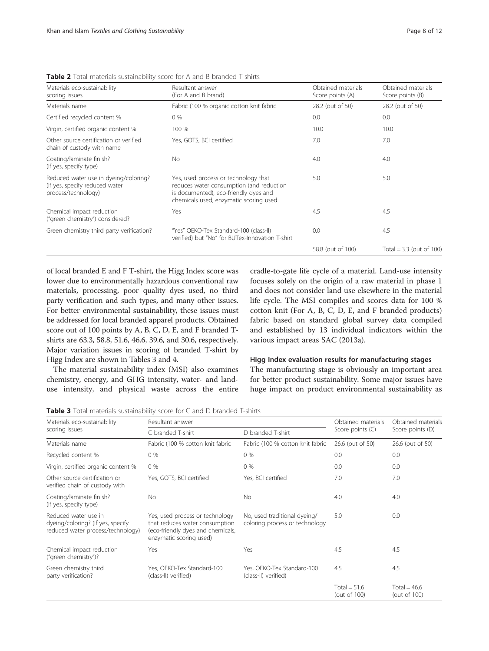| Materials eco-sustainability<br>scoring issues                                                 | Resultant answer<br>(For A and B brand)                                                                                                                             | Obtained materials<br>Score points (A) | Obtained materials<br>Score points (B) |
|------------------------------------------------------------------------------------------------|---------------------------------------------------------------------------------------------------------------------------------------------------------------------|----------------------------------------|----------------------------------------|
| Materials name                                                                                 | Fabric (100 % organic cotton knit fabric                                                                                                                            | 28.2 (out of 50)                       | 28.2 (out of 50)                       |
| Certified recycled content %                                                                   | 0%                                                                                                                                                                  | 0.0                                    | 0.0                                    |
| Virgin, certified organic content %                                                            | 100 %                                                                                                                                                               | 10.0                                   | 10.0                                   |
| Other source certification or verified<br>chain of custody with name                           | Yes, GOTS, BCI certified                                                                                                                                            | 7.0                                    | 7.0                                    |
| Coating/laminate finish?<br>(If yes, specify type)                                             | <b>No</b>                                                                                                                                                           | 4.0                                    | 4.0                                    |
| Reduced water use in dyeing/coloring?<br>(If yes, specify reduced water<br>process/technology) | Yes, used process or technology that<br>reduces water consumption (and reduction<br>is documented), eco-friendly dyes and<br>chemicals used, enzymatic scoring used | 5.0                                    | 5.0                                    |
| Chemical impact reduction<br>("green chemistry") considered?                                   | Yes                                                                                                                                                                 | 4.5                                    | 4.5                                    |
| Green chemistry third party verification?                                                      | "Yes" OEKO-Tex Standard-100 (class-II)<br>verified) but "No" for BUTex-Innovation T-shirt                                                                           | 0.0                                    | 4.5                                    |
|                                                                                                |                                                                                                                                                                     | 58.8 (out of 100)                      | Total = $3.3$ (out of 100)             |

<span id="page-7-0"></span>**Table 2** Total materials sustainability score for A and B branded T-shirts

of local branded E and F T-shirt, the Higg Index score was lower due to environmentally hazardous conventional raw materials, processing, poor quality dyes used, no third party verification and such types, and many other issues. For better environmental sustainability, these issues must be addressed for local branded apparel products. Obtained score out of 100 points by A, B, C, D, E, and F branded Tshirts are 63.3, 58.8, 51.6, 46.6, 39.6, and 30.6, respectively. Major variation issues in scoring of branded T-shirt by Higg Index are shown in Tables 3 and [4](#page-8-0).

The material sustainability index (MSI) also examines chemistry, energy, and GHG intensity, water- and landuse intensity, and physical waste across the entire cradle-to-gate life cycle of a material. Land-use intensity focuses solely on the origin of a raw material in phase 1 and does not consider land use elsewhere in the material life cycle. The MSI compiles and scores data for 100 % cotton knit (For A, B, C, D, E, and F branded products) fabric based on standard global survey data compiled and established by 13 individual indicators within the various impact areas SAC [\(2013a](#page-10-0)).

# Higg Index evaluation results for manufacturing stages

The manufacturing stage is obviously an important area for better product sustainability. Some major issues have huge impact on product environmental sustainability as

Table 3 Total materials sustainability score for C and D branded T-shirts

| Materials eco-sustainability                                                                   | Resultant answer                                                                                                                  |                                                                | Obtained materials             | Obtained materials             |
|------------------------------------------------------------------------------------------------|-----------------------------------------------------------------------------------------------------------------------------------|----------------------------------------------------------------|--------------------------------|--------------------------------|
| scoring issues                                                                                 | C branded T-shirt                                                                                                                 | D branded T-shirt                                              | Score points (C)               | Score points (D)               |
| Materials name                                                                                 | Fabric (100 % cotton knit fabric                                                                                                  | Fabric (100 % cotton knit fabric                               | 26.6 (out of 50)               | 26.6 (out of 50)               |
| Recycled content %                                                                             | $0\%$                                                                                                                             | $0\%$                                                          | 0.0                            | 0.0                            |
| Virgin, certified organic content %                                                            | $0\%$                                                                                                                             | $0\%$                                                          | 0.0                            | 0.0                            |
| Other source certification or<br>verified chain of custody with                                | Yes, GOTS, BCI certified                                                                                                          | Yes, BCI certified                                             | 7.0                            | 7.0                            |
| Coating/laminate finish?<br>(If yes, specify type)                                             | <b>No</b>                                                                                                                         | No                                                             | 4.0                            | 4.0                            |
| Reduced water use in<br>dyeing/coloring? (If yes, specify<br>reduced water process/technology) | Yes, used process or technology<br>that reduces water consumption<br>(eco-friendly dyes and chemicals,<br>enzymatic scoring used) | No, used traditional dyeing/<br>coloring process or technology | 5.0                            | 0.0                            |
| Chemical impact reduction<br>("green chemistry")?                                              | Yes                                                                                                                               | Yes                                                            | 4.5                            | 4.5                            |
| Green chemistry third<br>party verification?                                                   | Yes, OEKO-Tex Standard-100<br>(class-II) verified)                                                                                | Yes, OEKO-Tex Standard-100<br>(class-II) verified)             | 4.5                            | 4.5                            |
|                                                                                                |                                                                                                                                   |                                                                | $Total = 51.6$<br>(out of 100) | Total = $46.6$<br>(out of 100) |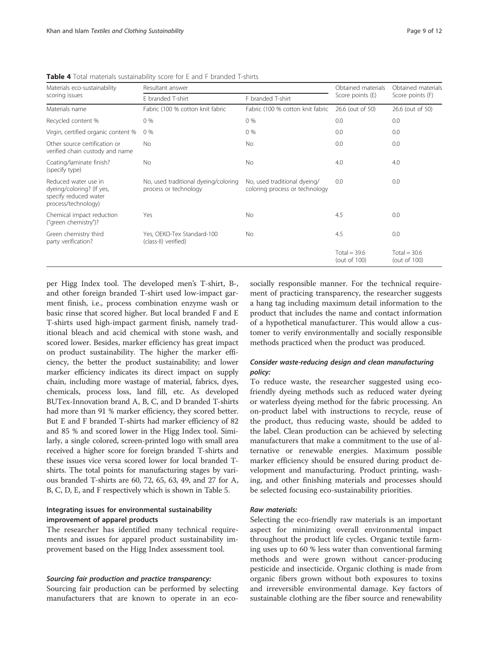| Materials eco-sustainability                                                                      | Resultant answer                                              |                                                                | Obtained materials             | Obtained materials             |
|---------------------------------------------------------------------------------------------------|---------------------------------------------------------------|----------------------------------------------------------------|--------------------------------|--------------------------------|
| scoring issues                                                                                    | E branded T-shirt                                             | F branded T-shirt                                              | Score points (E)               | Score points (F)               |
| Materials name                                                                                    | Fabric (100 % cotton knit fabric                              | Fabric (100 % cotton knit fabric                               | 26.6 (out of 50)               | 26.6 (out of 50)               |
| Recycled content %                                                                                | $0\%$                                                         | $0\%$                                                          | 0.0                            | 0.0                            |
| Virgin, certified organic content %                                                               | $0\%$                                                         | $0\%$                                                          | 0.0                            | 0.0                            |
| Other source certification or<br>verified chain custody and name                                  | No.                                                           | <b>No</b>                                                      | 0.0                            | 0.0                            |
| Coating/laminate finish?<br>(specify type)                                                        | No.                                                           | <b>No</b>                                                      | 4.0                            | 4.0                            |
| Reduced water use in<br>dyeing/coloring? (If yes,<br>specify reduced water<br>process/technology) | No, used traditional dyeing/coloring<br>process or technology | No, used traditional dyeing/<br>coloring process or technology | 0.0                            | 0.0                            |
| Chemical impact reduction<br>("green chemistry")?                                                 | Yes                                                           | <b>No</b>                                                      | 4.5                            | 0.0                            |
| Green chemistry third<br>party verification?                                                      | Yes, OEKO-Tex Standard-100<br>(class-II) verified)            | <b>No</b>                                                      | 4.5                            | 0.0                            |
|                                                                                                   |                                                               |                                                                | Total = $39.6$<br>(out of 100) | Total = $30.6$<br>(out of 100) |

<span id="page-8-0"></span>Table 4 Total materials sustainability score for E and F branded T-shirts

per Higg Index tool. The developed men's T-shirt, B-, and other foreign branded T-shirt used low-impact garment finish, i.e., process combination enzyme wash or basic rinse that scored higher. But local branded F and E T-shirts used high-impact garment finish, namely traditional bleach and acid chemical with stone wash, and scored lower. Besides, marker efficiency has great impact on product sustainability. The higher the marker efficiency, the better the product sustainability; and lower marker efficiency indicates its direct impact on supply chain, including more wastage of material, fabrics, dyes, chemicals, process loss, land fill, etc. As developed BUTex-Innovation brand A, B, C, and D branded T-shirts had more than 91 % marker efficiency, they scored better. But E and F branded T-shirts had marker efficiency of 82 and 85 % and scored lower in the Higg Index tool. Similarly, a single colored, screen-printed logo with small area received a higher score for foreign branded T-shirts and these issues vice versa scored lower for local branded Tshirts. The total points for manufacturing stages by various branded T-shirts are 60, 72, 65, 63, 49, and 27 for A, B, C, D, E, and F respectively which is shown in Table [5.](#page-9-0)

# Integrating issues for environmental sustainability improvement of apparel products

The researcher has identified many technical requirements and issues for apparel product sustainability improvement based on the Higg Index assessment tool.

#### Sourcing fair production and practice transparency:

Sourcing fair production can be performed by selecting manufacturers that are known to operate in an ecosocially responsible manner. For the technical requirement of practicing transparency, the researcher suggests a hang tag including maximum detail information to the product that includes the name and contact information of a hypothetical manufacturer. This would allow a customer to verify environmentally and socially responsible methods practiced when the product was produced.

# Consider waste-reducing design and clean manufacturing policy:

To reduce waste, the researcher suggested using ecofriendly dyeing methods such as reduced water dyeing or waterless dyeing method for the fabric processing. An on-product label with instructions to recycle, reuse of the product, thus reducing waste, should be added to the label. Clean production can be achieved by selecting manufacturers that make a commitment to the use of alternative or renewable energies. Maximum possible marker efficiency should be ensured during product development and manufacturing. Product printing, washing, and other finishing materials and processes should be selected focusing eco-sustainability priorities.

#### Raw materials:

Selecting the eco-friendly raw materials is an important aspect for minimizing overall environmental impact throughout the product life cycles. Organic textile farming uses up to 60 % less water than conventional farming methods and were grown without cancer-producing pesticide and insecticide. Organic clothing is made from organic fibers grown without both exposures to toxins and irreversible environmental damage. Key factors of sustainable clothing are the fiber source and renewability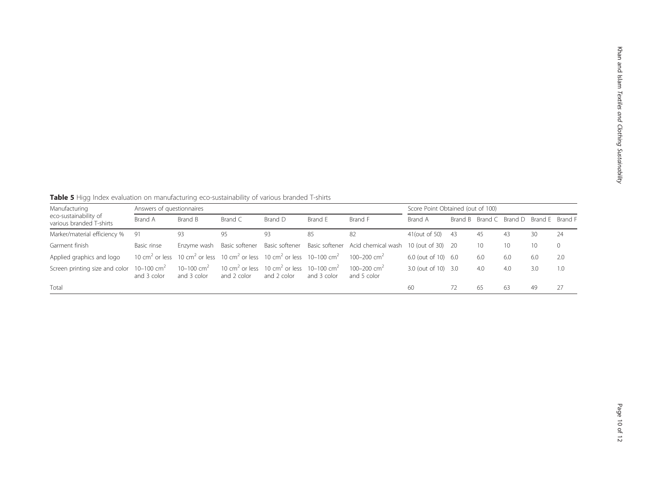Manufacturing eco-sustainability of various branded T-shirts Answers of questionnaires **Score Point Obtained (out of 100)** Answers of questionnaires Brand A Brand B Brand C Brand D Brand E Brand F Brand A Brand B Brand C Brand D Brand E Brand F Marker/material efficiency % 91 93 95 93 85 82 41(out of 50) 43 45 43 30 24 Garment finish **Basic rinse** Enzyme wash Basic softener Basic softener Basic softener Acid chemical wash 10 (out of 30) 20 10 10 10 0 Applied graphics and logo 10 cm<sup>2</sup> or less 10 cm<sup>2</sup> or less 10 cm<sup>2</sup> or less 10 cm<sup>2</sup> or less 10–100 cm<sup>2</sup> 100–200 cm<sup>2</sup> 6.0 (out of 10) 6.0 6.0 6.0 6.0 6.0 2.0 Screen printing size and color 10–100 cm<sup>2</sup> and 3 color  $10-100$  cm<sup>2</sup> and 3 color 10 cm<sup>2</sup> or less 10 cm<sup>2</sup> or less 10–100 cm<sup>2</sup> and 2 color and 2 color and 3 color  $100 - 200$  cm<sup>2</sup> and 5 color 3.0 (out of 10) 3.0 4.0 4.0 3.0 1.0 Total 60 72 65 63 49 2727

<span id="page-9-0"></span>Table 5 Higg Index evaluation on manufacturing eco-sustainability of various branded T-shirts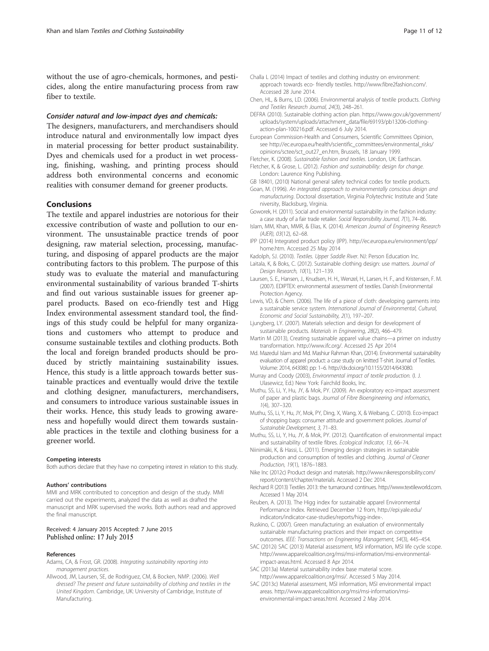<span id="page-10-0"></span>without the use of agro-chemicals, hormones, and pesticides, along the entire manufacturing process from raw fiber to textile.

#### Consider natural and low-impact dyes and chemicals:

The designers, manufacturers, and merchandisers should introduce natural and environmentally low impact dyes in material processing for better product sustainability. Dyes and chemicals used for a product in wet processing, finishing, washing, and printing process should address both environmental concerns and economic realities with consumer demand for greener products.

# Conclusions

The textile and apparel industries are notorious for their excessive contribution of waste and pollution to our environment. The unsustainable practice trends of poor designing, raw material selection, processing, manufacturing, and disposing of apparel products are the major contributing factors to this problem. The purpose of this study was to evaluate the material and manufacturing environmental sustainability of various branded T-shirts and find out various sustainable issues for greener apparel products. Based on eco-friendly test and Higg Index environmental assessment standard tool, the findings of this study could be helpful for many organizations and customers who attempt to produce and consume sustainable textiles and clothing products. Both the local and foreign branded products should be produced by strictly maintaining sustainability issues. Hence, this study is a little approach towards better sustainable practices and eventually would drive the textile and clothing designer, manufacturers, merchandisers, and consumers to introduce various sustainable issues in their works. Hence, this study leads to growing awareness and hopefully would direct them towards sustainable practices in the textile and clothing business for a greener world.

#### Competing interests

Both authors declare that they have no competing interest in relation to this study.

#### Authors' contributions

MMI and MRK contributed to conception and design of the study. MMI carried out the experiments, analyzed the data as well as drafted the manuscript and MRK supervised the works. Both authors read and approved the final manuscript.

#### Received: 4 January 2015 Accepted: 7 June 2015 Published online: 17 July 2015

#### References

- Adams, CA, & Frost, GR. (2008). Integrating sustainability reporting into management practices.
- Allwood, JM, Laursen, SE, de Rodriguez, CM, & Bocken, NMP. (2006). Well dressed? The present and future sustainability of clothing and textiles in the United Kingdom. Cambridge, UK: University of Cambridge, Institute of Manufacturing.
- Challa L (2014) Impact of textiles and clothing industry on environment: approach towards eco- friendly textiles. [http://www.fibre2fashion.com/.](http://www.fibre2fashion.com/) Accessed 28 June 2014.
- Chen, HL, & Burns, LD. (2006). Environmental analysis of textile products. Clothing and Textiles Research Journal, 24(3), 248–261.
- DEFRA (2010). Sustainable clothing action plan. [https://www.gov.uk/government/](https://www.gov.uk/government/uploads/system/uploads/attachment_data/file/69193/pb13206-clothing-action-plan-100216.pdf) [uploads/system/uploads/attachment\\_data/file/69193/pb13206-clothing](https://www.gov.uk/government/uploads/system/uploads/attachment_data/file/69193/pb13206-clothing-action-plan-100216.pdf)[action-plan-100216.pdf.](https://www.gov.uk/government/uploads/system/uploads/attachment_data/file/69193/pb13206-clothing-action-plan-100216.pdf) Accessed 6 July 2014.
- European Commission-Health and Consumers, Scientific Committees Opinion, see [http://ec.europa.eu/health/scientific\\_committees/environmental\\_risks/](http://www.ec.europa.eu/health/scientific_committees/environmental_risks/opinions/sctee/sct_out27_en.htm/) [opinions/sctee/sct\\_out27\\_en.htm](http://www.ec.europa.eu/health/scientific_committees/environmental_risks/opinions/sctee/sct_out27_en.htm/), Brussels, 18 January 1999.
- Fletcher, K. (2008). Sustainable fashion and textiles. London, UK: Earthscan.
- Fletcher, K, & Grose, L. (2012). Fashion and sustainability: design for change. London: Laurence King Publishing.

GB 18401, (2010) National general safety technical codes for textile products.

- Goan, M. (1996). An integrated approach to environmentally conscious design and manufacturing. Doctoral dissertation, Virginia Polytechnic Institute and State niversity, Blacksburg, Virginia.
- Goworek, H. (2011). Social and environmental sustainability in the fashion industry: a case study of a fair trade retailer. Social Responsibility Journal, 7(1), 74–86.
- Islam, MM, Khan, MMR, & Elias, K. (2014). American Journal of Engineering Research (AJER), 03(12), 62–68.
- IPP (2014) Integrated product policy (IPP). [http://ec.europa.eu/environment/ipp/](http://ec.europa.eu/environment/ipp/home.htm) [home.htm](http://ec.europa.eu/environment/ipp/home.htm). Accessed 25 May 2014
- Kadolph, SJ. (2010). Textiles. Upper Saddle River. NJ: Person Education Inc.
- Laitala, K, & Boks, C. (2012). Sustainable clothing design: use matters. Journal of Design Research, 10(1), 121–139.
- Laursen, S. E., Hansen, J., Knudsen, H. H., Wenzel, H., Larsen, H. F., and Kristensen, F. M. (2007). EDIPTEX: environmental assessment of textiles. Danish Environmental Protection Agency.
- Lewis, VD, & Chem. (2006). The life of a piece of cloth: developing garments into a sustainable service system. International Journal of Environmental, Cultural, Economic and Social Sustainability, 2(1), 197–207.
- Ljungberg, LY. (2007). Materials selection and design for development of sustainable products. Materials in Engineering, 28(2), 466–479.
- Martin M (2013), Creating sustainable apparel value chains—a primer on industry transformation.<http://www.ifc.org/>. Accessed 25 Apr 2014
- Md. Mazedul Islam and Md. Mashiur Rahman Khan, (2014). Environmental sustainability evaluation of apparel product: a case study on knitted T-shirt. Journal of Textiles. Volume: 2014, 643080, pp: 1–6.<http://dx.doi.org/10.1155/2014/643080>.
- Murray and Coody (2003), Environmental impact of textile production. (I. J. Ulasewicz, Ed.) New York: Fairchild Books, Inc.
- Muthu, SS, Li, Y, Hu, JY, & Mok, PY. (2009). An exploratory eco-impact assessment of paper and plastic bags. Journal of Fibre Bioengineering and informatics, 1(4), 307–320.
- Muthu, SS, Li, Y, Hu, JY, Mok, PY, Ding, X, Wang, X, & Weibang, C. (2010). Eco-impact of shopping bags: consumer attitude and government policies. Journal of Sustainable Development, 3, 71–83.
- Muthu, SS, Li, Y, Hu, JY, & Mok, PY. (2012). Quantification of environmental impact and sustainability of textile fibres. Ecological Indicator, 13, 66–74.
- Niinimäki, K, & Hassi, L. (2011). Emerging design strategies in sustainable production and consumption of textiles and clothing. Journal of Cleaner Production, 19(1), 1876–1883.
- Nike Inc (2012c) Product design and materials. [http://www.nikeresponsibility.com/](http://www.nikeresponsibility.com/report/content/chapter/materials) [report/content/chapter/materials](http://www.nikeresponsibility.com/report/content/chapter/materials). Accessed 2 Dec 2014.
- Reichard R (2013) Textiles 2013: the turnaround continues.<http://www.textileworld.com>. Accessed 1 May 2014.
- Reuben, A. (2013). The Higg index for sustainable apparel Environmental Performance Index. Retrieved December 12 from, [http://epi.yale.edu/](http://www.epi.yale.edu/indicators/indicator-case-studies/reports/higg-index-) [indicators/indicator-case-studies/reports/higg-index-](http://www.epi.yale.edu/indicators/indicator-case-studies/reports/higg-index-).
- Ruskino, C. (2007). Green manufacturing: an evaluation of environmentally sustainable manufacturing practices and their impact on competitive outcomes. IEEE: Transactions on Engineering Management, 54(3), 445–454.
- SAC (2012i) SAC (2013) Material assessment, MSI information, MSI life cycle scope. [http://www.apparelcoalition.org/msi/msi-information/msi-environmental](http://www.apparelcoalition.org/msi/msi-information/msi-environmental-impact-areas.html)[impact-areas.html](http://www.apparelcoalition.org/msi/msi-information/msi-environmental-impact-areas.html). Accessed 8 Apr 2014.
- SAC (2013a) Material sustainability index base material score. <http://www.apparelcoalition.org/msi/>. Accessed 5 May 2014.
- SAC (2013c) Material assessment, MSI information, MSI environmental impact areas. [http://www.apparelcoalition.org/msi/msi-information/msi](http://www.apparelcoalition.org/msi/msi-information/msi-environmental-impact-areas.html)[environmental-impact-areas.html.](http://www.apparelcoalition.org/msi/msi-information/msi-environmental-impact-areas.html) Accessed 2 May 2014.